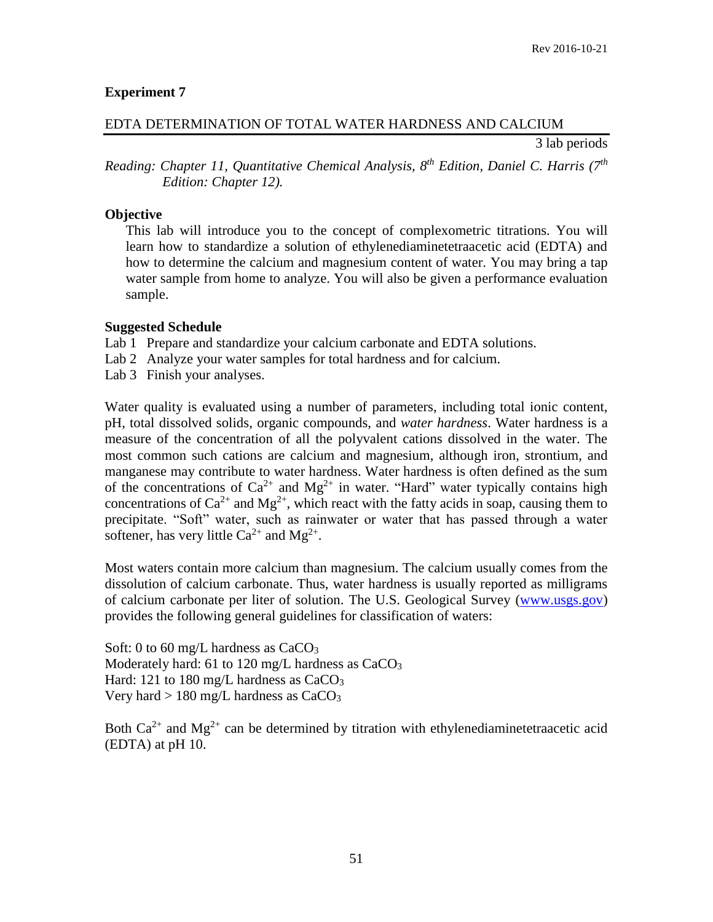# **Experiment 7**

## EDTA DETERMINATION OF TOTAL WATER HARDNESS AND CALCIUM

3 lab periods

*Reading: Chapter 11, Quantitative Chemical Analysis, 8 th Edition, Daniel C. Harris (7 th Edition: Chapter 12).*

### **Objective**

This lab will introduce you to the concept of complexometric titrations. You will learn how to standardize a solution of ethylenediaminetetraacetic acid (EDTA) and how to determine the calcium and magnesium content of water. You may bring a tap water sample from home to analyze. You will also be given a performance evaluation sample.

#### **Suggested Schedule**

Lab 1 Prepare and standardize your calcium carbonate and EDTA solutions.

- Lab 2 Analyze your water samples for total hardness and for calcium.
- Lab 3 Finish your analyses.

Water quality is evaluated using a number of parameters, including total ionic content, pH, total dissolved solids, organic compounds, and *water hardness*. Water hardness is a measure of the concentration of all the polyvalent cations dissolved in the water. The most common such cations are calcium and magnesium, although iron, strontium, and manganese may contribute to water hardness. Water hardness is often defined as the sum of the concentrations of  $Ca^{2+}$  and  $Mg^{2+}$  in water. "Hard" water typically contains high concentrations of  $Ca^{2+}$  and  $Mg^{2+}$ , which react with the fatty acids in soap, causing them to precipitate. "Soft" water, such as rainwater or water that has passed through a water softener, has very little  $Ca^{2+}$  and  $Mg^{2+}$ .

Most waters contain more calcium than magnesium. The calcium usually comes from the dissolution of calcium carbonate. Thus, water hardness is usually reported as milligrams of calcium carbonate per liter of solution. The U.S. Geological Survey [\(www.usgs.gov\)](http://www.usgs.gov/) provides the following general guidelines for classification of waters:

Soft: 0 to 60 mg/L hardness as CaCO<sub>3</sub> Moderately hard: 61 to 120 mg/L hardness as  $CaCO<sub>3</sub>$ Hard: 121 to 180 mg/L hardness as  $CaCO<sub>3</sub>$ Very hard  $> 180$  mg/L hardness as CaCO<sub>3</sub>

Both  $Ca^{2+}$  and  $Mg^{2+}$  can be determined by titration with ethylenediaminetetraacetic acid (EDTA) at pH 10.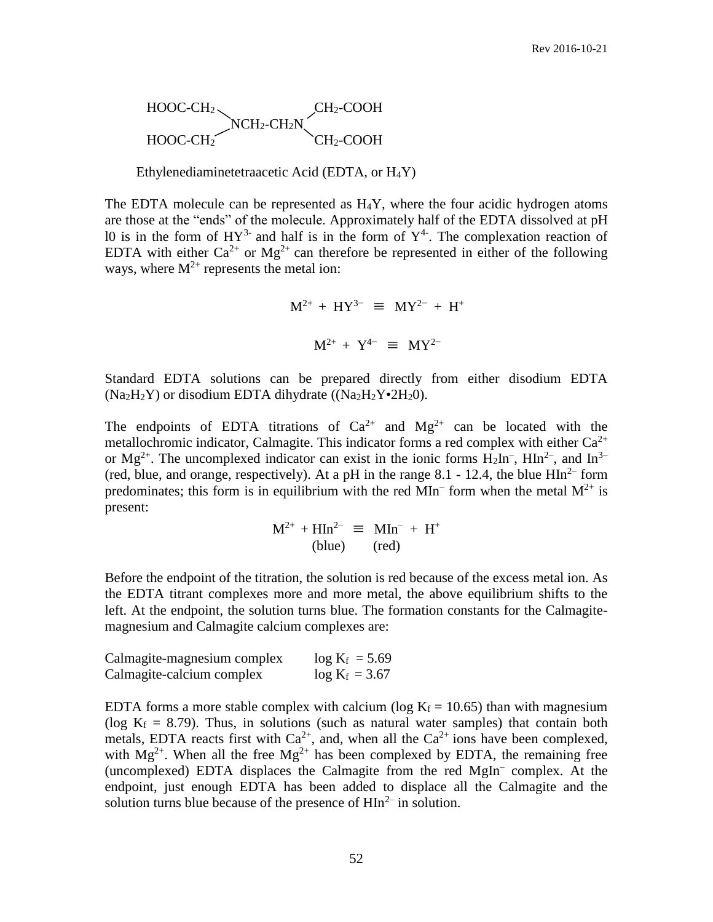$$
\textrm{HOOC-CH}_{2}\underbrace{\textrm{NCH}_{2}\textrm{-CH}_{2}N}_{CH_{2}\textrm{-CCH}_{2}\textrm{-COOH}}\underbrace{\textrm{CH}_{2}\textrm{-COOH}}_{CH_{2}\textrm{-COOH}}
$$

Ethylenediaminetetraacetic Acid (EDTA, or H4Y)

The EDTA molecule can be represented as  $H_4Y$ , where the four acidic hydrogen atoms are those at the "ends" of the molecule. Approximately half of the EDTA dissolved at pH 10 is in the form of  $HY^{3-}$  and half is in the form of  $Y^{4-}$ . The complexation reaction of EDTA with either  $Ca^{2+}$  or  $Mg^{2+}$  can therefore be represented in either of the following ways, where  $M^{2+}$  represents the metal ion:

$$
M^{2+} + HY^{3-} \equiv MY^{2-} + H^{+}
$$
  

$$
M^{2+} + Y^{4-} \equiv MY^{2-}
$$

Standard EDTA solutions can be prepared directly from either disodium EDTA  $(Na_2H_2Y)$  or disodium EDTA dihydrate  $((Na_2H_2Y•2H_20).$ 

The endpoints of EDTA titrations of  $Ca^{2+}$  and  $Mg^{2+}$  can be located with the metallochromic indicator, Calmagite. This indicator forms a red complex with either  $Ca^{2+}$ or Mg<sup>2+</sup>. The uncomplexed indicator can exist in the ionic forms  $H_2In^-$ ,  $HIn^{2-}$ , and  $In^{3-}$ (red, blue, and orange, respectively). At a pH in the range 8.1 - 12.4, the blue  $\text{HIn}^{2-}$  form predominates; this form is in equilibrium with the red MIn<sup>-</sup> form when the metal  $M^{2+}$  is present:

$$
M^{2+} + HIn^{2-} \equiv MIn^- + H^+
$$
  
(blue) (red)

Before the endpoint of the titration, the solution is red because of the excess metal ion. As the EDTA titrant complexes more and more metal, the above equilibrium shifts to the left. At the endpoint, the solution turns blue. The formation constants for the Calmagitemagnesium and Calmagite calcium complexes are:

| Calmagite-magnesium complex | $log K_f = 5.69$ |
|-----------------------------|------------------|
| Calmagite-calcium complex   | $log K_f = 3.67$ |

EDTA forms a more stable complex with calcium (log  $K_f = 10.65$ ) than with magnesium (log  $K_f = 8.79$ ). Thus, in solutions (such as natural water samples) that contain both metals, EDTA reacts first with  $Ca^{2+}$ , and, when all the  $Ca^{2+}$  ions have been complexed, with  $Mg^{2+}$ . When all the free  $Mg^{2+}$  has been complexed by EDTA, the remaining free (uncomplexed) EDTA displaces the Calmagite from the red MgIn– complex. At the endpoint, just enough EDTA has been added to displace all the Calmagite and the solution turns blue because of the presence of  $\text{HIn}^{2-}$  in solution.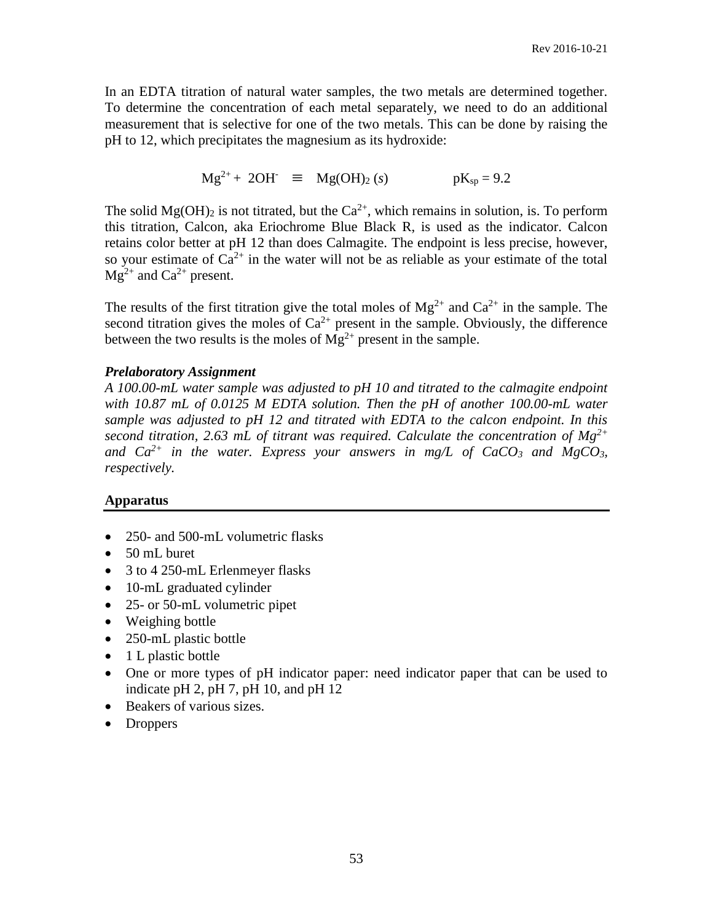In an EDTA titration of natural water samples, the two metals are determined together. To determine the concentration of each metal separately, we need to do an additional measurement that is selective for one of the two metals. This can be done by raising the pH to 12, which precipitates the magnesium as its hydroxide:

$$
Mg^{2+} + 2OH^- \equiv Mg(OH)_2 (s)
$$
 pK<sub>sp</sub> = 9.2

The solid  $Mg(OH)_2$  is not titrated, but the  $Ca^{2+}$ , which remains in solution, is. To perform this titration, Calcon, aka Eriochrome Blue Black R, is used as the indicator. Calcon retains color better at pH 12 than does Calmagite. The endpoint is less precise, however, so your estimate of  $Ca^{2+}$  in the water will not be as reliable as your estimate of the total  $Mg^{2+}$  and  $Ca^{2+}$  present.

The results of the first titration give the total moles of  $Mg^{2+}$  and  $Ca^{2+}$  in the sample. The second titration gives the moles of  $Ca^{2+}$  present in the sample. Obviously, the difference between the two results is the moles of  $Mg^{2+}$  present in the sample.

### *Prelaboratory Assignment*

*A 100.00-mL water sample was adjusted to pH 10 and titrated to the calmagite endpoint with 10.87 mL of 0.0125 M EDTA solution. Then the pH of another 100.00-mL water sample was adjusted to pH 12 and titrated with EDTA to the calcon endpoint. In this second titration, 2.63 mL of titrant was required. Calculate the concentration of Mg2+* and  $Ca^{2+}$  in the water. Express your answers in mg/L of  $CaCO<sub>3</sub>$  and  $MgCO<sub>3</sub>$ , *respectively.*

# **Apparatus**

- 250- and 500-mL volumetric flasks
- 50 mL buret
- 3 to 4 250-mL Erlenmeyer flasks
- 10-mL graduated cylinder
- 25- or 50-mL volumetric pipet
- Weighing bottle
- 250-mL plastic bottle
- $\bullet$  1 L plastic bottle
- One or more types of pH indicator paper: need indicator paper that can be used to indicate pH 2, pH 7, pH 10, and pH 12
- Beakers of various sizes.
- Droppers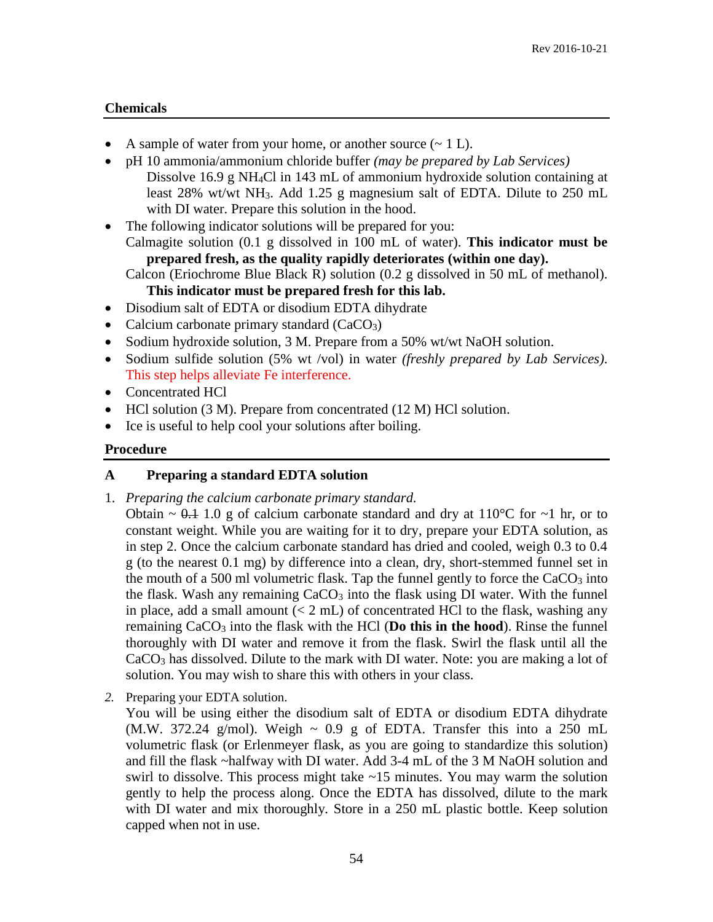# **Chemicals**

- A sample of water from your home, or another source  $(\sim 1 \text{ L})$ .
- pH 10 ammonia/ammonium chloride buffer *(may be prepared by Lab Services)* Dissolve 16.9 g NH4Cl in 143 mL of ammonium hydroxide solution containing at least 28% wt/wt NH3. Add 1.25 g magnesium salt of EDTA. Dilute to 250 mL with DI water. Prepare this solution in the hood.
- The following indicator solutions will be prepared for you:

Calmagite solution (0.1 g dissolved in 100 mL of water). **This indicator must be prepared fresh, as the quality rapidly deteriorates (within one day).**

Calcon (Eriochrome Blue Black R) solution (0.2 g dissolved in 50 mL of methanol). **This indicator must be prepared fresh for this lab.**

- Disodium salt of EDTA or disodium EDTA dihydrate
- Calcium carbonate primary standard  $(CaCO<sub>3</sub>)$
- Sodium hydroxide solution, 3 M. Prepare from a 50% wt/wt NaOH solution.
- Sodium sulfide solution (5% wt /vol) in water *(freshly prepared by Lab Services)*. This step helps alleviate Fe interference.
- Concentrated HCl
- HCl solution (3 M). Prepare from concentrated (12 M) HCl solution.
- Ice is useful to help cool your solutions after boiling.

### **Procedure**

#### **A Preparing a standard EDTA solution**

1. *Preparing the calcium carbonate primary standard.*

Obtain  $\sim$  0.1 1.0 g of calcium carbonate standard and dry at 110<sup>o</sup>C for  $\sim$ 1 hr, or to constant weight. While you are waiting for it to dry, prepare your EDTA solution, as in step 2. Once the calcium carbonate standard has dried and cooled, weigh 0.3 to 0.4 g (to the nearest 0.1 mg) by difference into a clean, dry, short-stemmed funnel set in the mouth of a 500 ml volumetric flask. Tap the funnel gently to force the  $CaCO<sub>3</sub>$  into the flask. Wash any remaining  $CaCO<sub>3</sub>$  into the flask using DI water. With the funnel in place, add a small amount  $(< 2 \text{ mL})$  of concentrated HCl to the flask, washing any remaining CaCO<sub>3</sub> into the flask with the HCl (Do this in the hood). Rinse the funnel thoroughly with DI water and remove it from the flask. Swirl the flask until all the CaCO<sup>3</sup> has dissolved. Dilute to the mark with DI water. Note: you are making a lot of solution. You may wish to share this with others in your class.

*2.* Preparing your EDTA solution.

You will be using either the disodium salt of EDTA or disodium EDTA dihydrate (M.W. 372.24 g/mol). Weigh  $\sim$  0.9 g of EDTA. Transfer this into a 250 mL volumetric flask (or Erlenmeyer flask, as you are going to standardize this solution) and fill the flask ~halfway with DI water. Add 3-4 mL of the 3 M NaOH solution and swirl to dissolve. This process might take  $\sim$ 15 minutes. You may warm the solution gently to help the process along. Once the EDTA has dissolved, dilute to the mark with DI water and mix thoroughly. Store in a 250 mL plastic bottle. Keep solution capped when not in use.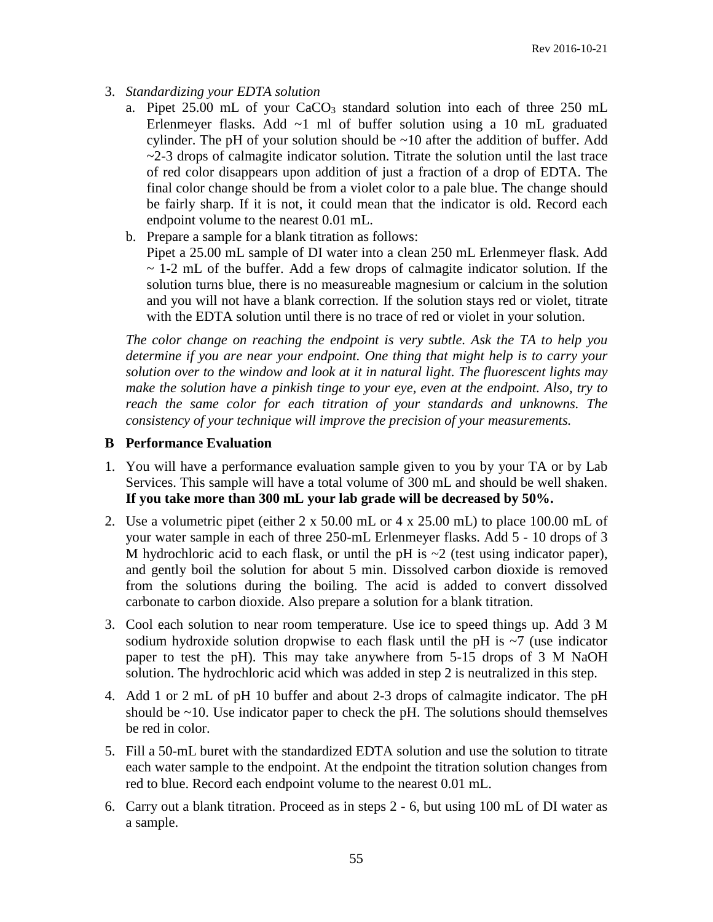- 3. *Standardizing your EDTA solution*
	- a. Pipet 25.00 mL of your CaCO<sub>3</sub> standard solution into each of three 250 mL Erlenmeyer flasks. Add  $\sim$ 1 ml of buffer solution using a 10 mL graduated cylinder. The pH of your solution should be  $\sim$ 10 after the addition of buffer. Add  $\sim$ 2-3 drops of calmagite indicator solution. Titrate the solution until the last trace of red color disappears upon addition of just a fraction of a drop of EDTA. The final color change should be from a violet color to a pale blue. The change should be fairly sharp. If it is not, it could mean that the indicator is old. Record each endpoint volume to the nearest 0.01 mL.
	- b. Prepare a sample for a blank titration as follows:

Pipet a 25.00 mL sample of DI water into a clean 250 mL Erlenmeyer flask. Add  $\sim$  1-2 mL of the buffer. Add a few drops of calmagite indicator solution. If the solution turns blue, there is no measureable magnesium or calcium in the solution and you will not have a blank correction. If the solution stays red or violet, titrate with the EDTA solution until there is no trace of red or violet in your solution.

*The color change on reaching the endpoint is very subtle. Ask the TA to help you determine if you are near your endpoint. One thing that might help is to carry your solution over to the window and look at it in natural light. The fluorescent lights may make the solution have a pinkish tinge to your eye, even at the endpoint. Also, try to reach the same color for each titration of your standards and unknowns. The consistency of your technique will improve the precision of your measurements.*

### **B Performance Evaluation**

- 1. You will have a performance evaluation sample given to you by your TA or by Lab Services. This sample will have a total volume of 300 mL and should be well shaken. **If you take more than 300 mL your lab grade will be decreased by 50%.**
- 2. Use a volumetric pipet (either 2 x 50.00 mL or 4 x 25.00 mL) to place 100.00 mL of your water sample in each of three 250-mL Erlenmeyer flasks. Add 5 - 10 drops of 3 M hydrochloric acid to each flask, or until the pH is  $\sim$ 2 (test using indicator paper), and gently boil the solution for about 5 min. Dissolved carbon dioxide is removed from the solutions during the boiling. The acid is added to convert dissolved carbonate to carbon dioxide. Also prepare a solution for a blank titration.
- 3. Cool each solution to near room temperature. Use ice to speed things up. Add 3 M sodium hydroxide solution dropwise to each flask until the pH is  $\sim$ 7 (use indicator paper to test the pH). This may take anywhere from 5-15 drops of 3 M NaOH solution. The hydrochloric acid which was added in step 2 is neutralized in this step.
- 4. Add 1 or 2 mL of pH 10 buffer and about 2-3 drops of calmagite indicator. The pH should be  $\sim$ 10. Use indicator paper to check the pH. The solutions should themselves be red in color.
- 5. Fill a 50-mL buret with the standardized EDTA solution and use the solution to titrate each water sample to the endpoint. At the endpoint the titration solution changes from red to blue. Record each endpoint volume to the nearest 0.01 mL.
- 6. Carry out a blank titration. Proceed as in steps 2 6, but using 100 mL of DI water as a sample.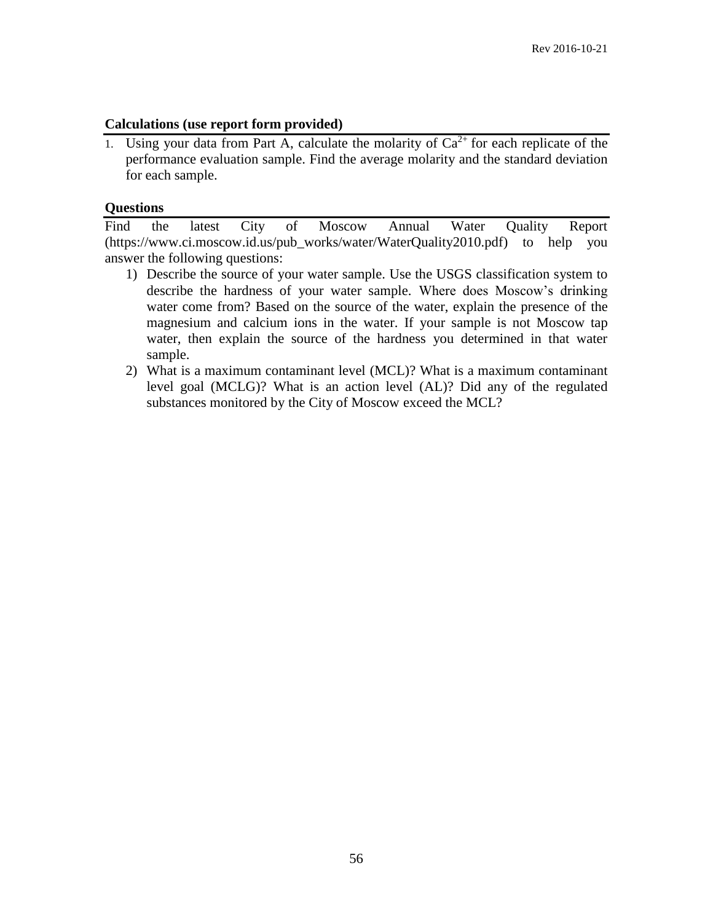# **Calculations (use report form provided)**

1. Using your data from Part A, calculate the molarity of  $Ca^{2+}$  for each replicate of the performance evaluation sample. Find the average molarity and the standard deviation for each sample.

# **Questions**

Find the latest City of Moscow Annual Water Quality Report (https://www.ci.moscow.id.us/pub\_works/water/WaterQuality2010.pdf) to help you answer the following questions:

- 1) Describe the source of your water sample. Use the USGS classification system to describe the hardness of your water sample. Where does Moscow's drinking water come from? Based on the source of the water, explain the presence of the magnesium and calcium ions in the water. If your sample is not Moscow tap water, then explain the source of the hardness you determined in that water sample.
- 2) What is a maximum contaminant level (MCL)? What is a maximum contaminant level goal (MCLG)? What is an action level (AL)? Did any of the regulated substances monitored by the City of Moscow exceed the MCL?